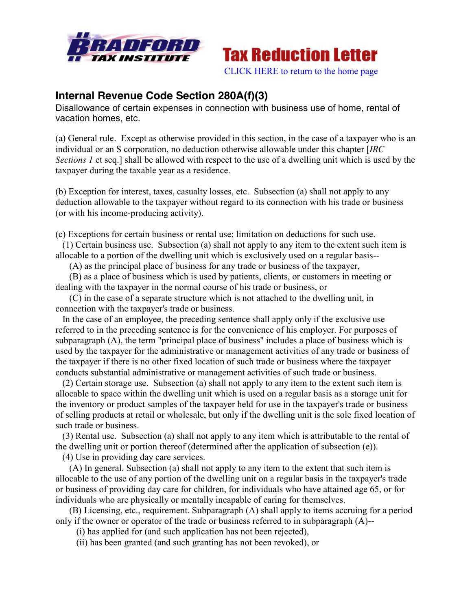



## **Internal Revenue Code Section 280A(f)(3)**

Disallowance of certain expenses in connection with business use of home, rental of vacation homes, etc.

(a) General rule. Except as otherwise provided in this section, in the case of a taxpayer who is an individual or an S corporation, no deduction otherwise allowable under this chapter [*IRC Sections 1* et seq.] shall be allowed with respect to the use of a dwelling unit which is used by the taxpayer during the taxable year as a residence.

(b) Exception for interest, taxes, casualty losses, etc. Subsection (a) shall not apply to any deduction allowable to the taxpayer without regard to its connection with his trade or business (or with his income-producing activity).

(c) Exceptions for certain business or rental use; limitation on deductions for such use.

 (1) Certain business use. Subsection (a) shall not apply to any item to the extent such item is allocable to a portion of the dwelling unit which is exclusively used on a regular basis--

(A) as the principal place of business for any trade or business of the taxpayer,

 (B) as a place of business which is used by patients, clients, or customers in meeting or dealing with the taxpayer in the normal course of his trade or business, or

 (C) in the case of a separate structure which is not attached to the dwelling unit, in connection with the taxpayer's trade or business.

 In the case of an employee, the preceding sentence shall apply only if the exclusive use referred to in the preceding sentence is for the convenience of his employer. For purposes of subparagraph (A), the term "principal place of business" includes a place of business which is used by the taxpayer for the administrative or management activities of any trade or business of the taxpayer if there is no other fixed location of such trade or business where the taxpayer conducts substantial administrative or management activities of such trade or business.

 (2) Certain storage use. Subsection (a) shall not apply to any item to the extent such item is allocable to space within the dwelling unit which is used on a regular basis as a storage unit for the inventory or product samples of the taxpayer held for use in the taxpayer's trade or business of selling products at retail or wholesale, but only if the dwelling unit is the sole fixed location of such trade or business.

 (3) Rental use. Subsection (a) shall not apply to any item which is attributable to the rental of the dwelling unit or portion thereof (determined after the application of subsection (e)).

(4) Use in providing day care services.

 (A) In general. Subsection (a) shall not apply to any item to the extent that such item is allocable to the use of any portion of the dwelling unit on a regular basis in the taxpayer's trade or business of providing day care for children, for individuals who have attained age 65, or for individuals who are physically or mentally incapable of caring for themselves.

 (B) Licensing, etc., requirement. Subparagraph (A) shall apply to items accruing for a period only if the owner or operator of the trade or business referred to in subparagraph (A)--

(i) has applied for (and such application has not been rejected),

(ii) has been granted (and such granting has not been revoked), or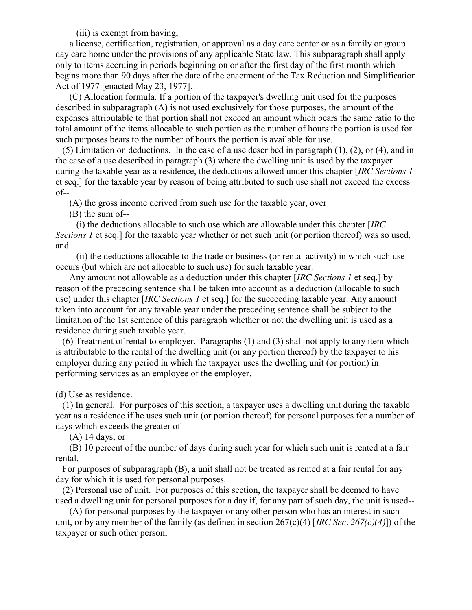(iii) is exempt from having,

 a license, certification, registration, or approval as a day care center or as a family or group day care home under the provisions of any applicable State law. This subparagraph shall apply only to items accruing in periods beginning on or after the first day of the first month which begins more than 90 days after the date of the enactment of the Tax Reduction and Simplification Act of 1977 [enacted May 23, 1977].

 (C) Allocation formula. If a portion of the taxpayer's dwelling unit used for the purposes described in subparagraph (A) is not used exclusively for those purposes, the amount of the expenses attributable to that portion shall not exceed an amount which bears the same ratio to the total amount of the items allocable to such portion as the number of hours the portion is used for such purposes bears to the number of hours the portion is available for use.

 (5) Limitation on deductions. In the case of a use described in paragraph (1), (2), or (4), and in the case of a use described in paragraph (3) where the dwelling unit is used by the taxpayer during the taxable year as a residence, the deductions allowed under this chapter [*IRC Sections 1* et seq.] for the taxable year by reason of being attributed to such use shall not exceed the excess of--

(A) the gross income derived from such use for the taxable year, over

(B) the sum of--

 (i) the deductions allocable to such use which are allowable under this chapter [*IRC Sections 1* et seq.] for the taxable year whether or not such unit (or portion thereof) was so used, and

 (ii) the deductions allocable to the trade or business (or rental activity) in which such use occurs (but which are not allocable to such use) for such taxable year.

 Any amount not allowable as a deduction under this chapter [*IRC Sections 1* et seq.] by reason of the preceding sentence shall be taken into account as a deduction (allocable to such use) under this chapter [*IRC Sections 1* et seq.] for the succeeding taxable year. Any amount taken into account for any taxable year under the preceding sentence shall be subject to the limitation of the 1st sentence of this paragraph whether or not the dwelling unit is used as a residence during such taxable year.

 (6) Treatment of rental to employer. Paragraphs (1) and (3) shall not apply to any item which is attributable to the rental of the dwelling unit (or any portion thereof) by the taxpayer to his employer during any period in which the taxpayer uses the dwelling unit (or portion) in performing services as an employee of the employer.

(d) Use as residence.

 (1) In general. For purposes of this section, a taxpayer uses a dwelling unit during the taxable year as a residence if he uses such unit (or portion thereof) for personal purposes for a number of days which exceeds the greater of--

(A) 14 days, or

 (B) 10 percent of the number of days during such year for which such unit is rented at a fair rental.

 For purposes of subparagraph (B), a unit shall not be treated as rented at a fair rental for any day for which it is used for personal purposes.

 (2) Personal use of unit. For purposes of this section, the taxpayer shall be deemed to have used a dwelling unit for personal purposes for a day if, for any part of such day, the unit is used--

 (A) for personal purposes by the taxpayer or any other person who has an interest in such unit, or by any member of the family (as defined in section 267(c)(4) [*IRC Sec. 267(c)(4)*]) of the taxpayer or such other person;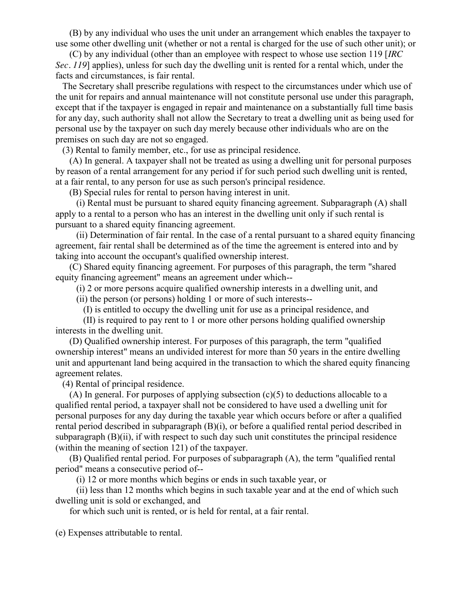(B) by any individual who uses the unit under an arrangement which enables the taxpayer to use some other dwelling unit (whether or not a rental is charged for the use of such other unit); or

 (C) by any individual (other than an employee with respect to whose use section 119 [*IRC Sec. 119*] applies), unless for such day the dwelling unit is rented for a rental which, under the facts and circumstances, is fair rental.

 The Secretary shall prescribe regulations with respect to the circumstances under which use of the unit for repairs and annual maintenance will not constitute personal use under this paragraph, except that if the taxpayer is engaged in repair and maintenance on a substantially full time basis for any day, such authority shall not allow the Secretary to treat a dwelling unit as being used for personal use by the taxpayer on such day merely because other individuals who are on the premises on such day are not so engaged.

(3) Rental to family member, etc., for use as principal residence.

 (A) In general. A taxpayer shall not be treated as using a dwelling unit for personal purposes by reason of a rental arrangement for any period if for such period such dwelling unit is rented, at a fair rental, to any person for use as such person's principal residence.

(B) Special rules for rental to person having interest in unit.

 (i) Rental must be pursuant to shared equity financing agreement. Subparagraph (A) shall apply to a rental to a person who has an interest in the dwelling unit only if such rental is pursuant to a shared equity financing agreement.

 (ii) Determination of fair rental. In the case of a rental pursuant to a shared equity financing agreement, fair rental shall be determined as of the time the agreement is entered into and by taking into account the occupant's qualified ownership interest.

 (C) Shared equity financing agreement. For purposes of this paragraph, the term "shared equity financing agreement" means an agreement under which--

(i) 2 or more persons acquire qualified ownership interests in a dwelling unit, and

(ii) the person (or persons) holding 1 or more of such interests--

(I) is entitled to occupy the dwelling unit for use as a principal residence, and

 (II) is required to pay rent to 1 or more other persons holding qualified ownership interests in the dwelling unit.

 (D) Qualified ownership interest. For purposes of this paragraph, the term "qualified ownership interest" means an undivided interest for more than 50 years in the entire dwelling unit and appurtenant land being acquired in the transaction to which the shared equity financing agreement relates.

(4) Rental of principal residence.

 (A) In general. For purposes of applying subsection (c)(5) to deductions allocable to a qualified rental period, a taxpayer shall not be considered to have used a dwelling unit for personal purposes for any day during the taxable year which occurs before or after a qualified rental period described in subparagraph (B)(i), or before a qualified rental period described in subparagraph (B)(ii), if with respect to such day such unit constitutes the principal residence (within the meaning of section 121) of the taxpayer.

 (B) Qualified rental period. For purposes of subparagraph (A), the term "qualified rental period" means a consecutive period of--

(i) 12 or more months which begins or ends in such taxable year, or

 (ii) less than 12 months which begins in such taxable year and at the end of which such dwelling unit is sold or exchanged, and

for which such unit is rented, or is held for rental, at a fair rental.

(e) Expenses attributable to rental.